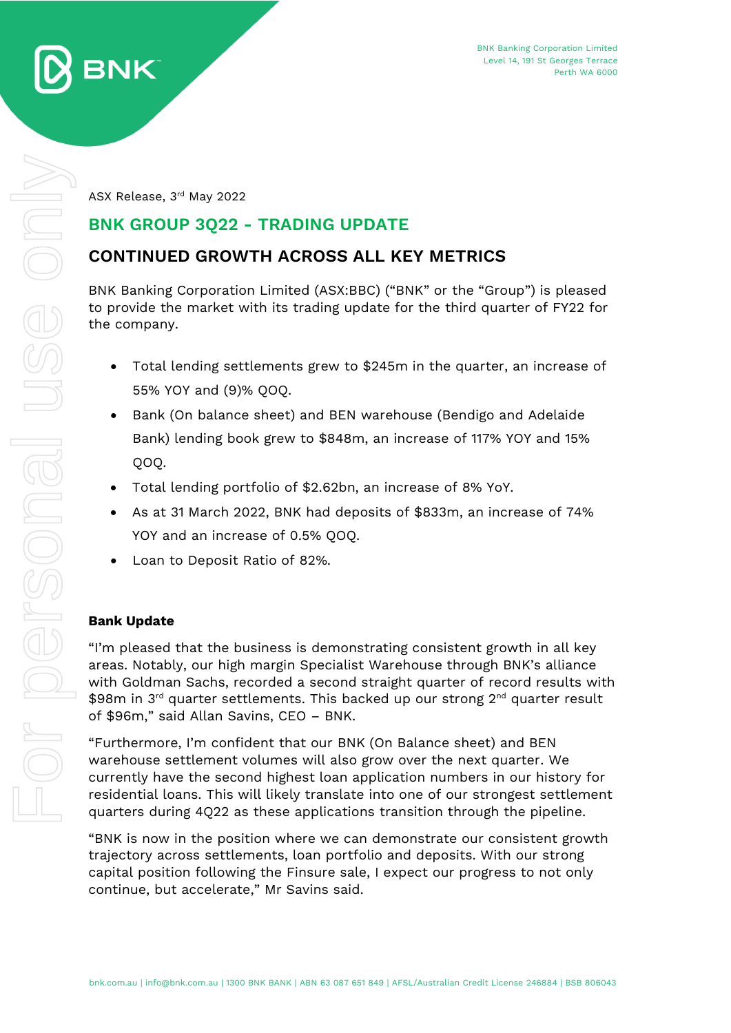

ASX Release, 3 rd May 2022

## **BNK GROUP 3Q22 - TRADING UPDATE**

## **CONTINUED GROWTH ACROSS ALL KEY METRICS**

BNK Banking Corporation Limited (ASX:BBC) ("BNK" or the "Group") is pleased to provide the market with its trading update for the third quarter of FY22 for the company.

- Total lending settlements grew to \$245m in the quarter, an increase of 55% YOY and (9)% QOQ.
- Bank (On balance sheet) and BEN warehouse (Bendigo and Adelaide Bank) lending book grew to \$848m, an increase of 117% YOY and 15% QOQ.
- Total lending portfolio of \$2.62bn, an increase of 8% YoY.
- As at 31 March 2022, BNK had deposits of \$833m, an increase of 74% YOY and an increase of 0.5% QOQ.
- Loan to Deposit Ratio of 82%.

### **Bank Update**

"I'm pleased that the business is demonstrating consistent growth in all key areas. Notably, our high margin Specialist Warehouse through BNK's alliance with Goldman Sachs, recorded a second straight quarter of record results with \$98m in 3<sup>rd</sup> quarter settlements. This backed up our strong 2<sup>nd</sup> quarter result of \$96m," said Allan Savins, CEO – BNK.

"Furthermore, I'm confident that our BNK (On Balance sheet) and BEN warehouse settlement volumes will also grow over the next quarter. We currently have the second highest loan application numbers in our history for residential loans. This will likely translate into one of our strongest settlement quarters during 4Q22 as these applications transition through the pipeline.

"BNK is now in the position where we can demonstrate our consistent growth trajectory across settlements, loan portfolio and deposits. With our strong capital position following the Finsure sale, I expect our progress to not only continue, but accelerate," Mr Savins said.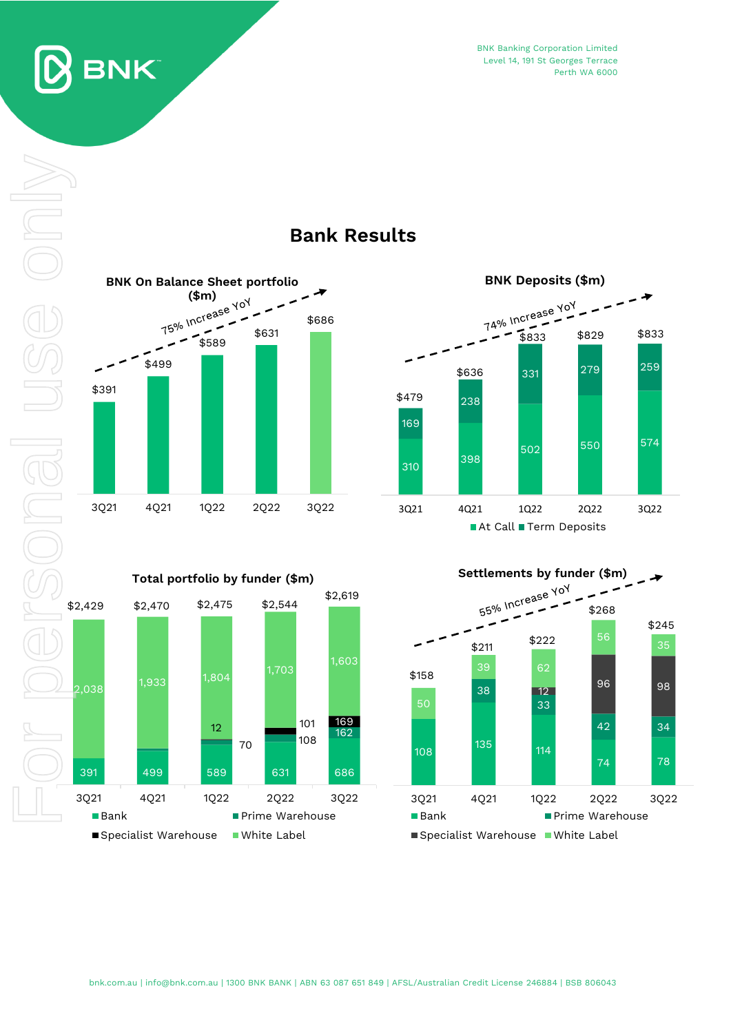

SONGI

BNK Banking Corporation Limited Level 14, 191 St Georges Terrace Perth WA 6000



# **Bank Results**



**Settlements by funder (\$m)**<br> $55\% \text{ InC}^\text{rease } 10\%$  $\rightarrow$ \$268 \$245 56  $$211$   $$222$ 39 62 \$158 <sup>12</sup> <sup>96</sup> <sup>98</sup> 38 33 42 34 <sup>135</sup> <sup>114</sup> 108